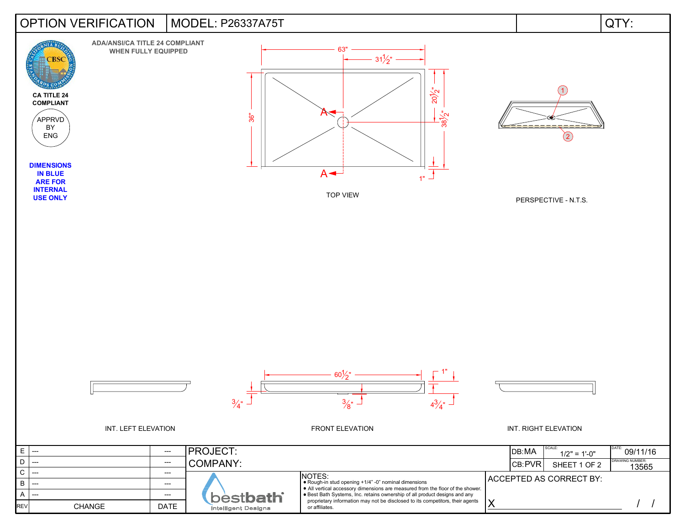